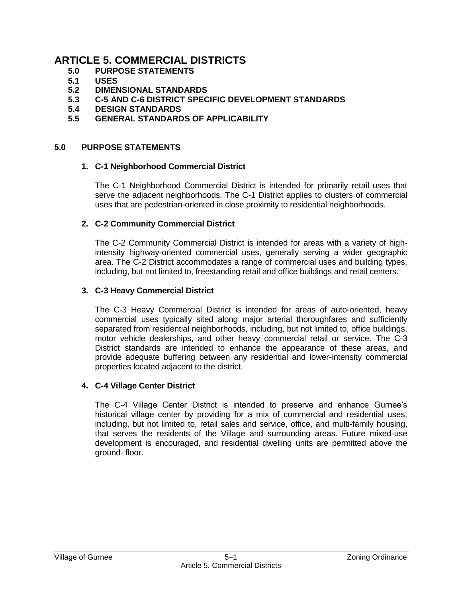# **ARTICLE 5. COMMERCIAL DISTRICTS**

- **5.0 PURPOSE STATEMENTS**
- **5.1 USES**
- **5.2 DIMENSIONAL STANDARDS**
- **5.3 C-5 AND C-6 DISTRICT SPECIFIC DEVELOPMENT STANDARDS**
- **5.4 DESIGN STANDARDS**
- **5.5 GENERAL STANDARDS OF APPLICABILITY**

#### **5.0 PURPOSE STATEMENTS**

#### **1. C-1 Neighborhood Commercial District**

The C-1 Neighborhood Commercial District is intended for primarily retail uses that serve the adjacent neighborhoods. The C-1 District applies to clusters of commercial uses that are pedestrian-oriented in close proximity to residential neighborhoods.

#### **2. C-2 Community Commercial District**

The C-2 Community Commercial District is intended for areas with a variety of highintensity highway-oriented commercial uses, generally serving a wider geographic area. The C-2 District accommodates a range of commercial uses and building types, including, but not limited to, freestanding retail and office buildings and retail centers.

## **3. C-3 Heavy Commercial District**

The C-3 Heavy Commercial District is intended for areas of auto-oriented, heavy commercial uses typically sited along major arterial thoroughfares and sufficiently separated from residential neighborhoods, including, but not limited to, office buildings, motor vehicle dealerships, and other heavy commercial retail or service. The C-3 District standards are intended to enhance the appearance of these areas, and provide adequate buffering between any residential and lower-intensity commercial properties located adjacent to the district.

## **4. C-4 Village Center District**

The C-4 Village Center District is intended to preserve and enhance Gurnee's historical village center by providing for a mix of commercial and residential uses, including, but not limited to, retail sales and service, office, and multi-family housing, that serves the residents of the Village and surrounding areas. Future mixed-use development is encouraged, and residential dwelling units are permitted above the ground- floor.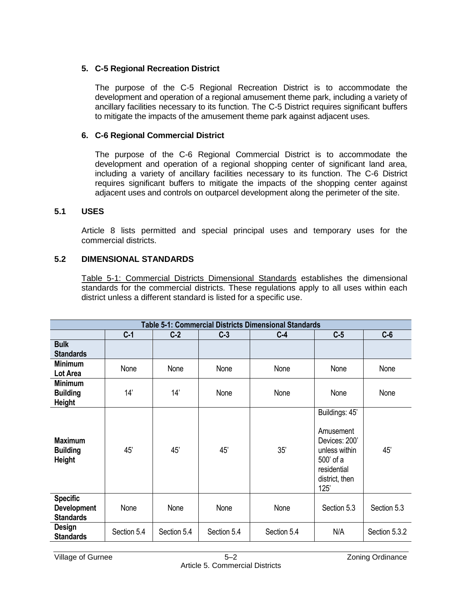## **5. C-5 Regional Recreation District**

The purpose of the C-5 Regional Recreation District is to accommodate the development and operation of a regional amusement theme park, including a variety of ancillary facilities necessary to its function. The C-5 District requires significant buffers to mitigate the impacts of the amusement theme park against adjacent uses.

# **6. C-6 Regional Commercial District**

The purpose of the C-6 Regional Commercial District is to accommodate the development and operation of a regional shopping center of significant land area, including a variety of ancillary facilities necessary to its function. The C-6 District requires significant buffers to mitigate the impacts of the shopping center against adjacent uses and controls on outparcel development along the perimeter of the site.

## **5.1 USES**

Article 8 lists permitted and special principal uses and temporary uses for the commercial districts.

# **5.2 DIMENSIONAL STANDARDS**

Table 5-1: Commercial Districts Dimensional Standards establishes the dimensional standards for the commercial districts. These regulations apply to all uses within each district unless a different standard is listed for a specific use.

| <b>Table 5-1: Commercial Districts Dimensional Standards</b> |             |             |             |             |                                                                                                                     |               |  |  |  |  |
|--------------------------------------------------------------|-------------|-------------|-------------|-------------|---------------------------------------------------------------------------------------------------------------------|---------------|--|--|--|--|
|                                                              | $C-1$       | $C-2$       | $C-3$       | $C-4$       | $C-5$                                                                                                               | $C-6$         |  |  |  |  |
| <b>Bulk</b><br><b>Standards</b>                              |             |             |             |             |                                                                                                                     |               |  |  |  |  |
| <b>Minimum</b><br>Lot Area                                   | None        | None        | None        | None        | None                                                                                                                | None          |  |  |  |  |
| <b>Minimum</b><br><b>Building</b><br><b>Height</b>           | 14'         | 14'         | None        | None        | None                                                                                                                | None          |  |  |  |  |
| <b>Maximum</b><br><b>Building</b><br><b>Height</b>           | 45'         | 45'         | 45'         | 35'         | Buildings: 45'<br>Amusement<br>Devices: 200'<br>unless within<br>500' of a<br>residential<br>district, then<br>125' | 45'           |  |  |  |  |
| <b>Specific</b><br><b>Development</b><br><b>Standards</b>    | None        | None        | None        | None        | Section 5.3                                                                                                         | Section 5.3   |  |  |  |  |
| <b>Design</b><br><b>Standards</b>                            | Section 5.4 | Section 5.4 | Section 5.4 | Section 5.4 | N/A                                                                                                                 | Section 5.3.2 |  |  |  |  |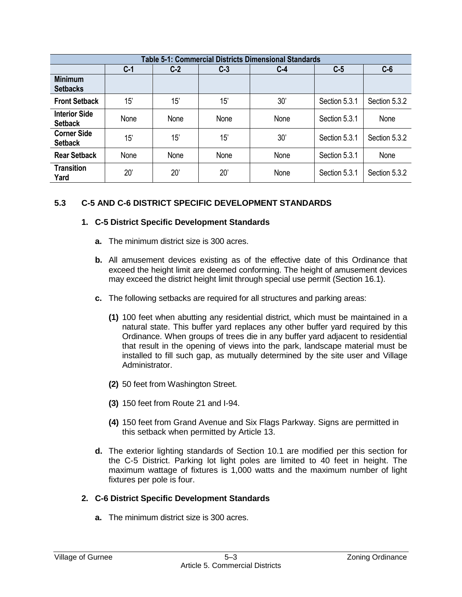| <b>Table 5-1: Commercial Districts Dimensional Standards</b> |              |       |       |       |               |               |  |  |  |
|--------------------------------------------------------------|--------------|-------|-------|-------|---------------|---------------|--|--|--|
|                                                              | $C-1$        | $C-2$ | $C-3$ | $C-4$ | $C-5$         | $C-6$         |  |  |  |
| <b>Minimum</b><br><b>Setbacks</b>                            |              |       |       |       |               |               |  |  |  |
| <b>Front Setback</b>                                         | 15'          | 15'   | 15'   | 30'   | Section 5.3.1 | Section 5.3.2 |  |  |  |
| <b>Interior Side</b><br><b>Setback</b>                       | None         | None  | None  | None  | Section 5.3.1 | None          |  |  |  |
| <b>Corner Side</b><br><b>Setback</b>                         | 15'          | 15'   | 15'   | 30'   | Section 5.3.1 | Section 5.3.2 |  |  |  |
| <b>Rear Setback</b>                                          | None         | None  | None  | None  | Section 5.3.1 | None          |  |  |  |
| <b>Transition</b><br>Yard                                    | $20^{\circ}$ | 20'   | 20'   | None  | Section 5.3.1 | Section 5.3.2 |  |  |  |

# **5.3 C-5 AND C-6 DISTRICT SPECIFIC DEVELOPMENT STANDARDS**

#### **1. C-5 District Specific Development Standards**

- **a.** The minimum district size is 300 acres.
- **b.** All amusement devices existing as of the effective date of this Ordinance that exceed the height limit are deemed conforming. The height of amusement devices may exceed the district height limit through special use permit (Section 16.1).
- **c.** The following setbacks are required for all structures and parking areas:
	- **(1)** 100 feet when abutting any residential district, which must be maintained in a natural state. This buffer yard replaces any other buffer yard required by this Ordinance. When groups of trees die in any buffer yard adjacent to residential that result in the opening of views into the park, landscape material must be installed to fill such gap, as mutually determined by the site user and Village Administrator.
	- **(2)** 50 feet from Washington Street.
	- **(3)** 150 feet from Route 21 and I-94.
	- **(4)** 150 feet from Grand Avenue and Six Flags Parkway. Signs are permitted in this setback when permitted by Article 13.
- **d.** The exterior lighting standards of Section 10.1 are modified per this section for the C-5 District. Parking lot light poles are limited to 40 feet in height. The maximum wattage of fixtures is 1,000 watts and the maximum number of light fixtures per pole is four.

#### **2. C-6 District Specific Development Standards**

**a.** The minimum district size is 300 acres.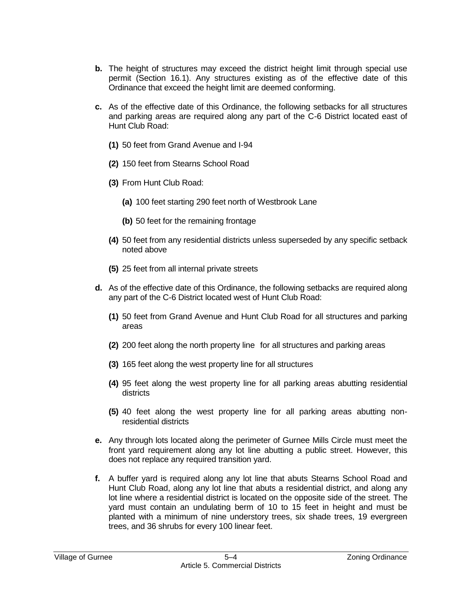- **b.** The height of structures may exceed the district height limit through special use permit (Section 16.1). Any structures existing as of the effective date of this Ordinance that exceed the height limit are deemed conforming.
- **c.** As of the effective date of this Ordinance, the following setbacks for all structures and parking areas are required along any part of the C-6 District located east of Hunt Club Road:
	- **(1)** 50 feet from Grand Avenue and I-94
	- **(2)** 150 feet from Stearns School Road
	- **(3)** From Hunt Club Road:
		- **(a)** 100 feet starting 290 feet north of Westbrook Lane
		- **(b)** 50 feet for the remaining frontage
	- **(4)** 50 feet from any residential districts unless superseded by any specific setback noted above
	- **(5)** 25 feet from all internal private streets
- **d.** As of the effective date of this Ordinance, the following setbacks are required along any part of the C-6 District located west of Hunt Club Road:
	- **(1)** 50 feet from Grand Avenue and Hunt Club Road for all structures and parking areas
	- **(2)** 200 feet along the north property line for all structures and parking areas
	- **(3)** 165 feet along the west property line for all structures
	- **(4)** 95 feet along the west property line for all parking areas abutting residential districts
	- **(5)** 40 feet along the west property line for all parking areas abutting nonresidential districts
- **e.** Any through lots located along the perimeter of Gurnee Mills Circle must meet the front yard requirement along any lot line abutting a public street. However, this does not replace any required transition yard.
- **f.** A buffer yard is required along any lot line that abuts Stearns School Road and Hunt Club Road, along any lot line that abuts a residential district, and along any lot line where a residential district is located on the opposite side of the street. The yard must contain an undulating berm of 10 to 15 feet in height and must be planted with a minimum of nine understory trees, six shade trees, 19 evergreen trees, and 36 shrubs for every 100 linear feet.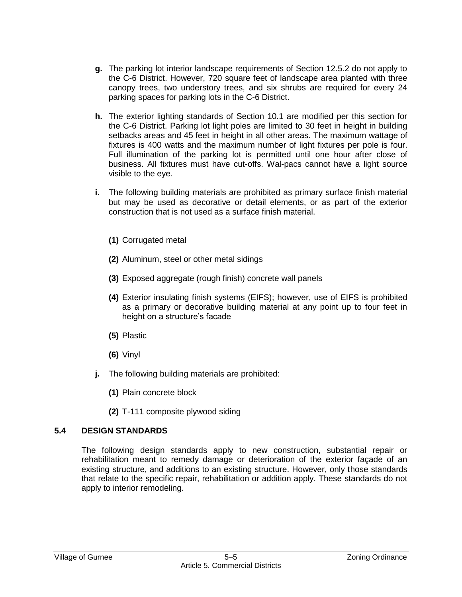- **g.** The parking lot interior landscape requirements of Section 12.5.2 do not apply to the C-6 District. However, 720 square feet of landscape area planted with three canopy trees, two understory trees, and six shrubs are required for every 24 parking spaces for parking lots in the C-6 District.
- **h.** The exterior lighting standards of Section 10.1 are modified per this section for the C-6 District. Parking lot light poles are limited to 30 feet in height in building setbacks areas and 45 feet in height in all other areas. The maximum wattage of fixtures is 400 watts and the maximum number of light fixtures per pole is four. Full illumination of the parking lot is permitted until one hour after close of business. All fixtures must have cut-offs. Wal-pacs cannot have a light source visible to the eye.
- **i.** The following building materials are prohibited as primary surface finish material but may be used as decorative or detail elements, or as part of the exterior construction that is not used as a surface finish material.
	- **(1)** Corrugated metal
	- **(2)** Aluminum, steel or other metal sidings
	- **(3)** Exposed aggregate (rough finish) concrete wall panels
	- **(4)** Exterior insulating finish systems (EIFS); however, use of EIFS is prohibited as a primary or decorative building material at any point up to four feet in height on a structure's facade
	- **(5)** Plastic
	- **(6)** Vinyl
- **j.** The following building materials are prohibited:
	- **(1)** Plain concrete block
	- **(2)** T-111 composite plywood siding

## **5.4 DESIGN STANDARDS**

The following design standards apply to new construction, substantial repair or rehabilitation meant to remedy damage or deterioration of the exterior façade of an existing structure, and additions to an existing structure. However, only those standards that relate to the specific repair, rehabilitation or addition apply. These standards do not apply to interior remodeling.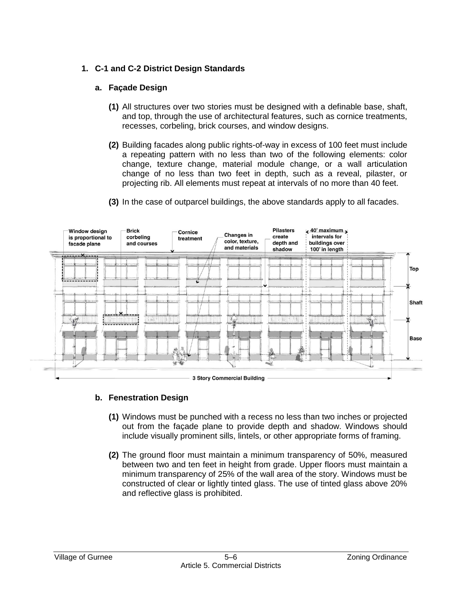# **1. C-1 and C-2 District Design Standards**

## **a. Façade Design**

- **(1)** All structures over two stories must be designed with a definable base, shaft, and top, through the use of architectural features, such as cornice treatments, recesses, corbeling, brick courses, and window designs.
- **(2)** Building facades along public rights-of-way in excess of 100 feet must include a repeating pattern with no less than two of the following elements: color change, texture change, material module change, or a wall articulation change of no less than two feet in depth, such as a reveal, pilaster, or projecting rib. All elements must repeat at intervals of no more than 40 feet.



**(3)** In the case of outparcel buildings, the above standards apply to all facades.

# **b. Fenestration Design**

- **(1)** Windows must be punched with a recess no less than two inches or projected out from the façade plane to provide depth and shadow. Windows should include visually prominent sills, lintels, or other appropriate forms of framing.
- **(2)** The ground floor must maintain a minimum transparency of 50%, measured between two and ten feet in height from grade. Upper floors must maintain a minimum transparency of 25% of the wall area of the story. Windows must be constructed of clear or lightly tinted glass. The use of tinted glass above 20% and reflective glass is prohibited.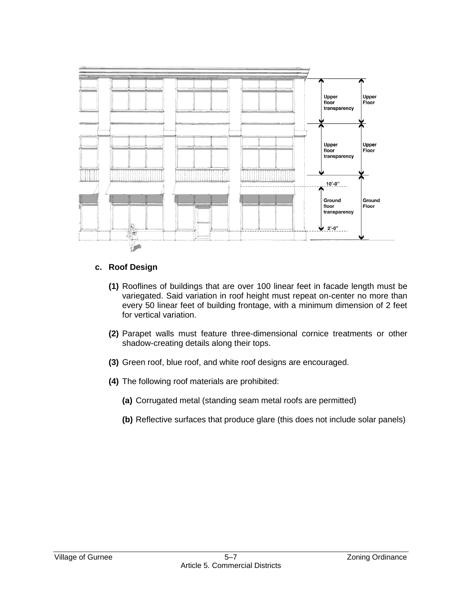

## **c. Roof Design**

- **(1)** Rooflines of buildings that are over 100 linear feet in facade length must be variegated. Said variation in roof height must repeat on-center no more than every 50 linear feet of building frontage, with a minimum dimension of 2 feet for vertical variation.
- **(2)** Parapet walls must feature three-dimensional cornice treatments or other shadow-creating details along their tops.
- **(3)** Green roof, blue roof, and white roof designs are encouraged.
- **(4)** The following roof materials are prohibited:
	- **(a)** Corrugated metal (standing seam metal roofs are permitted)
	- **(b)** Reflective surfaces that produce glare (this does not include solar panels)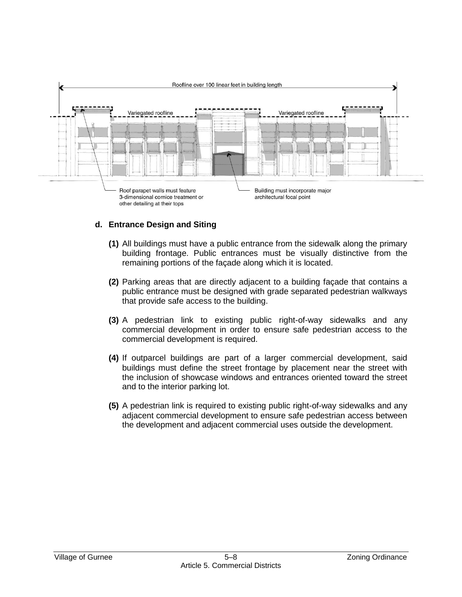

## **d. Entrance Design and Siting**

- **(1)** All buildings must have a public entrance from the sidewalk along the primary building frontage. Public entrances must be visually distinctive from the remaining portions of the façade along which it is located.
- **(2)** Parking areas that are directly adjacent to a building façade that contains a public entrance must be designed with grade separated pedestrian walkways that provide safe access to the building.
- **(3)** A pedestrian link to existing public right-of-way sidewalks and any commercial development in order to ensure safe pedestrian access to the commercial development is required.
- **(4)** If outparcel buildings are part of a larger commercial development, said buildings must define the street frontage by placement near the street with the inclusion of showcase windows and entrances oriented toward the street and to the interior parking lot.
- **(5)** A pedestrian link is required to existing public right-of-way sidewalks and any adjacent commercial development to ensure safe pedestrian access between the development and adjacent commercial uses outside the development.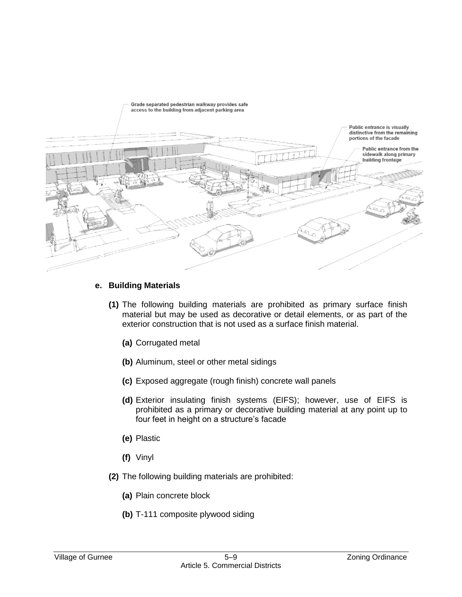

# **e. Building Materials**

- **(1)** The following building materials are prohibited as primary surface finish material but may be used as decorative or detail elements, or as part of the exterior construction that is not used as a surface finish material.
	- **(a)** Corrugated metal
	- **(b)** Aluminum, steel or other metal sidings
	- **(c)** Exposed aggregate (rough finish) concrete wall panels
	- **(d)** Exterior insulating finish systems (EIFS); however, use of EIFS is prohibited as a primary or decorative building material at any point up to four feet in height on a structure's facade
	- **(e)** Plastic
	- **(f)** Vinyl
- **(2)** The following building materials are prohibited:
	- **(a)** Plain concrete block
	- **(b)** T-111 composite plywood siding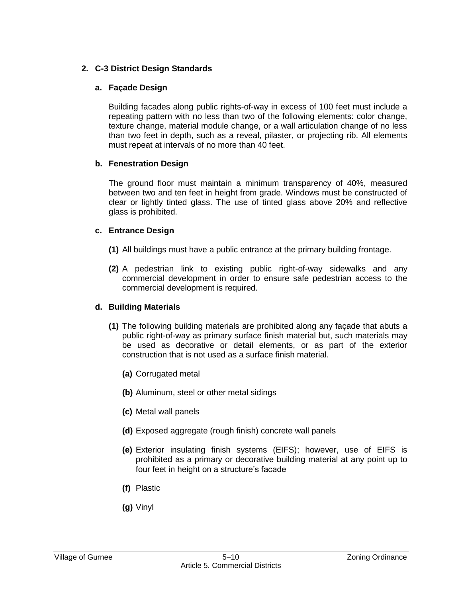## **2. C-3 District Design Standards**

## **a. Façade Design**

Building facades along public rights-of-way in excess of 100 feet must include a repeating pattern with no less than two of the following elements: color change, texture change, material module change, or a wall articulation change of no less than two feet in depth, such as a reveal, pilaster, or projecting rib. All elements must repeat at intervals of no more than 40 feet.

## **b. Fenestration Design**

The ground floor must maintain a minimum transparency of 40%, measured between two and ten feet in height from grade. Windows must be constructed of clear or lightly tinted glass. The use of tinted glass above 20% and reflective glass is prohibited.

## **c. Entrance Design**

- **(1)** All buildings must have a public entrance at the primary building frontage.
- **(2)** A pedestrian link to existing public right-of-way sidewalks and any commercial development in order to ensure safe pedestrian access to the commercial development is required.

## **d. Building Materials**

- **(1)** The following building materials are prohibited along any façade that abuts a public right-of-way as primary surface finish material but, such materials may be used as decorative or detail elements, or as part of the exterior construction that is not used as a surface finish material.
	- **(a)** Corrugated metal
	- **(b)** Aluminum, steel or other metal sidings
	- **(c)** Metal wall panels
	- **(d)** Exposed aggregate (rough finish) concrete wall panels
	- **(e)** Exterior insulating finish systems (EIFS); however, use of EIFS is prohibited as a primary or decorative building material at any point up to four feet in height on a structure's facade
	- **(f)** Plastic
	- **(g)** Vinyl